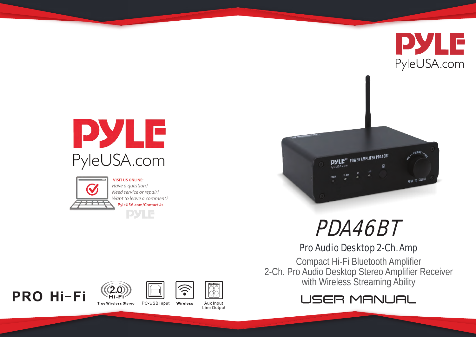



**VISIT US ONLINE:** Have a guestion? Need service or repair? Want to leave a comment? PyleUSA.com/ContactUs

**PYLE** 









**True Wireless Stereo** PC-USB Input Wireless

Aux Input Line Output





# Pro Audio Desktop 2-Ch. Amp

Compact Hi-Fi Bluetooth Amplifier 2-Ch. Pro Audio Desktop Stereo Amplifier Receiver with Wireless Streaming Ability

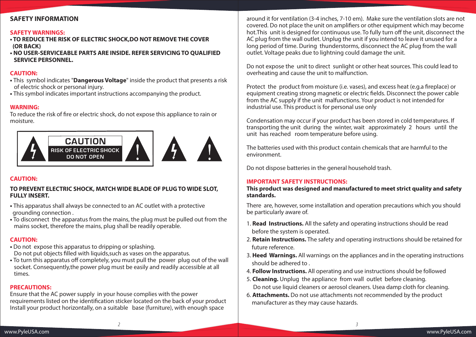## **SAFETY INFORMATION**

#### **SAFETY WARNINGS:**

- **TO REDUCE THE RISK OF ELECTRIC SHOCK,DO NOT REMOVE THE COVER (OR BACK)**
- **NO USER-SERVICEABLE PARTS ARE INSIDE. REFER SERVICING TO QUALIFIED SERVICE PERSONNEL.**

#### **CAUTION:**

- This symbol indicates "**Dangerous Voltage**" inside the product that presents a risk of electric shock or personal injury.
- This symbol indicates important instructions accompanying the product.

#### **WARNING:**

To reduce the risk of fire or electric shock, do not expose this appliance to rain or moisture.



### **CAUTION:**

#### **TO PREVENT ELECTRIC SHOCK, MATCH WIDE BLADE OF PLUG TO WIDE SLOT, FULLY INSERT.**

- This apparatus shall always be connected to an AC outlet with a protective grounding connection .
- To disconnect the apparatus from the mains, the plug must be pulled out from the mains socket, therefore the mains, plug shall be readily operable.

### **CAUTION:**

- Do not expose this apparatus to dripping or splashing. Do not put objects filled with liquids, such as vases on the apparatus.
- To turn this apparatus off completely, you must pull the power plug out of the wall socket. Consequently,the power plug must be easily and readily accessible at all times.

### **PRECAUTIONS:**

Ensure that the AC power supply in your house complies with the power requirements listed on the identification sticker located on the back of your product Install your product horizontally, on a suitable base (furniture), with enough space

around it for ventilation (3-4 inches, 7-10 em). Make sure the ventilation slots are not covered. Do not place the unit on amplifiers or other equipment which may become hot. This unit is designed for continuous use. To fully turn off the unit, disconnect the AC plug from the wall outlet. Unplug the unit if you intend to leave it unused for a long period of time. During thunderstorms, disconnect the AC plug from the wall outlet. Voltage peaks due to lightning could damage the unit.

Do not expose the unit to direct sunlight or other heat sources. This could lead to overheating and cause the unit to malfunction.

Protect the product from moisture (i.e. vases), and excess heat (e.g.a fireplace) or equipment creating strong magnetic or electric fields. Disconnect the power cable from the AC supply if the unit malfunctions. Your product is not intended for industrial use. This product is for personal use only

Condensation may occur if your product has been stored in cold temperatures. If transporting the unit during the winter, wait approximately 2 hours until the unit has reached room temperature before using.

The batteries used with this product contain chemicals that are harmful to the environment.

Do not dispose batteries in the general household trash.

### **IMPORTANT SAFETY INSTRUCTIONS:**

*2 3*

#### **This product was designed and manufactured to meet strict quality and safety standards.**

There are, however, some installation and operation precautions which you should be particularly aware of.

- 1. **Read Instructions.** All the safety and operating instructions should be read before the system is operated.
- 2. **Retain Instructions.** The safety and operating instructions should be retained for future reference.
- 3. **Heed Warnings.** All warnings on the appliances and in the operating instructions should be adhered to .
- 4. **Follow Instructions.** All operating and use instructions should be followed
- 5. **Cleaning.** Unplug the appliance from wall outlet before cleaning. Do not use liquid cleaners or aerosol cleaners. Usea damp cloth for cleaning.
- 6. **Attachments.** Do not use attachments not recommended by the product manufacturer as they may cause hazards.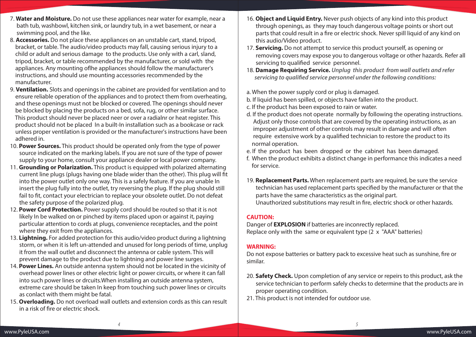- 7. **Water and Moisture.** Do not use these appliances near water for example, near a bath tub, washbowl, kitchen sink, or laundry tub, in a wet basement, or near a swimming pool, and the like.
- 8. **Accessories.** Do not place these appliances on an unstable cart, stand, tripod, bracket, or table. The audio/video products may fall, causing serious injury to a child or adult and serious damage to the products. Use only with a carl, sland, tripod, bracket, or table recommended by the manufacturer, or sold with the appliances. Any mounting of the appliances should follow the manufacturer's instructions, and should use mounting accessories recommended by the manufacturer.
- 9. **Ventilation.** Slots and openings in the cabinet are provided for ventilation and to ensure reliable operation of the appliances and to protect them from overheating, and these openings must not be blocked or covered. The openings should never be blocked by placing the products on a bed, sofa, rug, or other similar surface. This product should never be placed neer or over a radialnr or heat register. This product should not be placed In a built-In installation such as a bookcase or rack unless proper ventilation is provided or the manufacturer's instructions have been adhered in.
- 10. **Power Sources.** This product should be operated only from the type of power source indicated on the marking labels. If you are not sure of the type of power supply to your home, consult your appliance dealer or local power company.
- 11. **Grounding or Polarization.** This product is equipped with polarized alternating current line plugs (plugs having one blade wider than the other). This plug will fit into the power outlet only one way. This is a safely feature. If you are unable In insert the plug fully into the outlet, try reversing the plug. lf the plug should still fail to fit, contact your electrician to replace your obsolete outlet. Do not defeat the safety purpose of the polarized plug.
- 12. **Power Cord Protection.** Power supply cord should be routed so that it is not likely In be walked on or pinched by items placed upon or against it, paying particular attention to cords at plugs, convenience receptacles, and the point where they exit from the appliances.
- 13. **Lightning.** For added protection for this audio/video product during a lightning storm, or when it is left un-attended and unused for long periods of time, unplug it from the wall outlet and disconnect the antenna or cable system. This will prevent damage to the product due to lightning and power line surges.
- 14. **Power Lines.** An outside antenna system should not be located in the vicinity of overhead power lines or other electric light or power circuits, or where it can fall into such power lines or drcuits.When installing an outside antenna system, extreme care should be taken In keep from touching such power lines or circuits as conlact with them might be fatal.
- 15. **Overloading.** Do not overload wall outlets and extension cords as this can result in a risk of fire or electric shock.
- 16. **Object and Liquid Entry.** Never push objects of any kind into this product through openings, as they may touch dangerous voltage points or short out parts that could result in a fire or electric shock. Never spill liquid of any kind on this audio/Video product.
- 17. **Servicing.** Do not attempt to service this product yourself, as opening or removing covers may expose you to dangerous voltage or other hazards. Refer all servicing to qualified service personnel.
- 18. **Damage Requiring Service.** *Unplug this product from wall outlets and refer servicing to qualified service personnel under the following conditions:*
- a. When the power supply cord or plug is damaged.
- b. If liquid has been spilled, or objects have fallen into the product.
- c. If the product has been exposed to rain or water.
- d. If the product does not operate normally by following the operating instructions. Adjust only those controls that are covered by the operating instructions, as an improper adjustment of other controls may result in damage and will often require extensive work by a qualified technician to restore the product to its normal operation.
- e. If the product has been dropped or the cabinet has been damaged.
- f. When the product exhibits a distinct change in performance this indicates a need for service.
- 19. **Replacement Parts.** When replacement parts are required, be sure the service technician has used replacement parts specified by the manufacturer or that the parts have the same characteristics as the original part. Unauthorized substitutions may result in fire, electric shock or other hazards.

# **CAUTION:**

Danger of **EXPLOSION** if batteries are inconrectly replaced. Replace only with the same or equivalent type (2 x "AAA" batteries)

# **WARNING:**

*4 5*

Do not expose batteries or battery pack to excessive heat such as sunshine, fire or similar.

- 20. **Safety Check.** Upon completion of any service or repeirs to this product, ask the service technician to perform safely checks to determine that the products are in proper operating condition.
- 21. This product is not intended for outdoor use.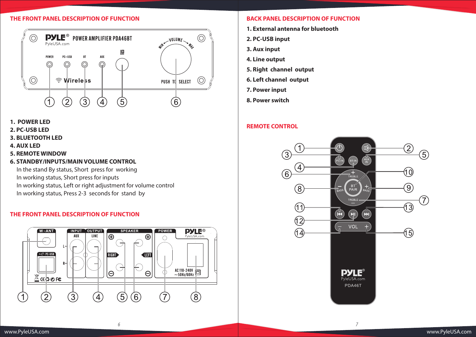#### **THE FRONT PANEL DESCRIPTION OF FUNCTION**



- **1. POWER LED**
- **2. PC-USB LED**
- **3. BLUETOOTH LED**
- **4. AUX LED**
- **5. REMOTE WINDOW**
- **6. STANDBY/INPUTS/MAIN VOLUME CONTROL**

 In the stand By status, Short press for working In working status, Short press for inputs In working status, Left or right adjustment for volume control In working status, Press 2-3 seconds for stand by

### **THE FRONT PANEL DESCRIPTION OF FUNCTION**



#### **BACK PANEL DESCRIPTION OF FUNCTION**

- **1. External antenna for bluetooth**
- **2. PC-USB input**
- **3. Aux input**
- **4. Line output**
- **5. Right channel output**
- **6. Left channel output**
- **7. Power input**
- **8. Power switch**

*6 7*

# **REMOTE CONTROL**

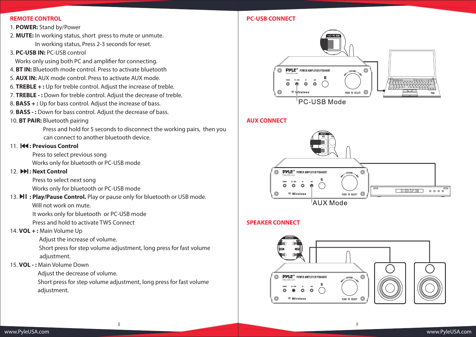#### **REMOTE CONTROL**

- 1. **POWER:** Stand by/Power
- 2. **MUTE:** In working status, short press to mute or unmute. In working status, Press 2-3 seconds for reset.
- 3. **PC-USB IN:** PC-USB control
- Works only using both PC and amplifier for connecting.
- 4. **BT IN:** Bluetooth mode control. Press to activate bluetooth
- 5. **AUX IN:** AUX mode control. Press to activate AUX mode.
- 6. **TREBLE + :** Up for treble control. Adjust the increase of treble.
- 7. **TREBLE :** Down for treble control. Adjust the decrease of treble.
- 8. **BASS + :** Up for bass control. Adjust the increase of bass.
- 9. **BASS :** Down for bass control. Adjust the decrease of bass.
- 10. **BT PAIR:** Bluetooth pairing

 Press and hold for 5 seconds to disconnect the working pairs, then you can connect to another bluetooth device.

### 11. **H4: Previous Control**

 Press to select previous song Works only for bluetooth or PC-USB mode

## 12 **bbl**: Next Control

Press to select next song

Works only for bluetooth or PC-USB mode

13. **II : Play/Pause Control.** Play or pause only for bluetooth or USB mode. Will not work on mute.

It works only for bluetooth or PC-USB mode

Press and hold to activate TWS Connect

# 14. **VOL + :** Main Volume Up

Adjust the increase of volume.

 Short press for step volume adjustment, long press for fast volume adjustment.

15. **VOL - :** Main Volume Down

Adjust the decrease of volume.

 Short press for step volume adjustment, long press for fast volume adjustment.

# **PC-USB CONNECT**



### **AUX CONNECT**



# **SPEAKER CONNECT**

*8 9*